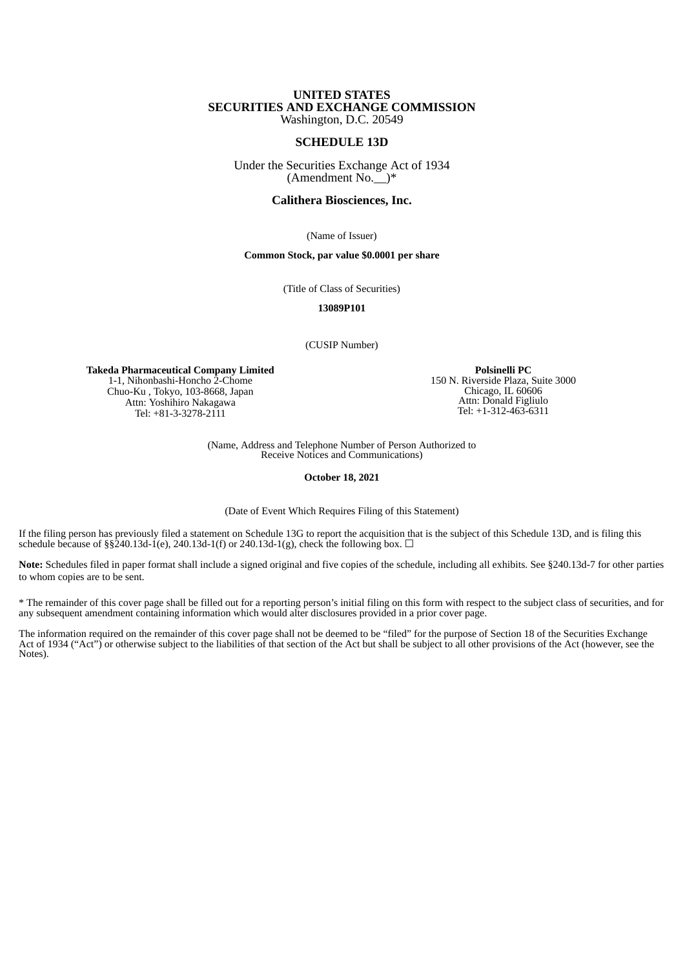### **UNITED STATES SECURITIES AND EXCHANGE COMMISSION** Washington, D.C. 20549

**SCHEDULE 13D**

Under the Securities Exchange Act of 1934 (Amendment No.  $\check{ }$ )\*

### **Calithera Biosciences, Inc.**

(Name of Issuer)

#### **Common Stock, par value \$0.0001 per share**

(Title of Class of Securities)

**13089P101**

(CUSIP Number)

**Takeda Pharmaceutical Company Limited** 1-1, Nihonbashi-Honcho 2-Chome Chuo-Ku , Tokyo, 103-8668, Japan Attn: Yoshihiro Nakagawa Tel: +81-3-3278-2111

**Polsinelli PC** 150 N. Riverside Plaza, Suite 3000 Chicago, IL 60606 Attn: Donald Figliulo Tel: +1-312-463-6311

(Name, Address and Telephone Number of Person Authorized to Receive Notices and Communications)

**October 18, 2021**

(Date of Event Which Requires Filing of this Statement)

If the filing person has previously filed a statement on Schedule 13G to report the acquisition that is the subject of this Schedule 13D, and is filing this schedule because of  $\S$ §240.13d-1(e), 240.13d-1(f) or 240.13d-1(g), check the following box.  $\Box$ 

**Note:** Schedules filed in paper format shall include a signed original and five copies of the schedule, including all exhibits. See §240.13d-7 for other parties to whom copies are to be sent.

\* The remainder of this cover page shall be filled out for a reporting person's initial filing on this form with respect to the subject class of securities, and for any subsequent amendment containing information which would alter disclosures provided in a prior cover page.

The information required on the remainder of this cover page shall not be deemed to be "filed" for the purpose of Section 18 of the Securities Exchange Act of 1934 ("Act") or otherwise subject to the liabilities of that section of the Act but shall be subject to all other provisions of the Act (however, see the Notes).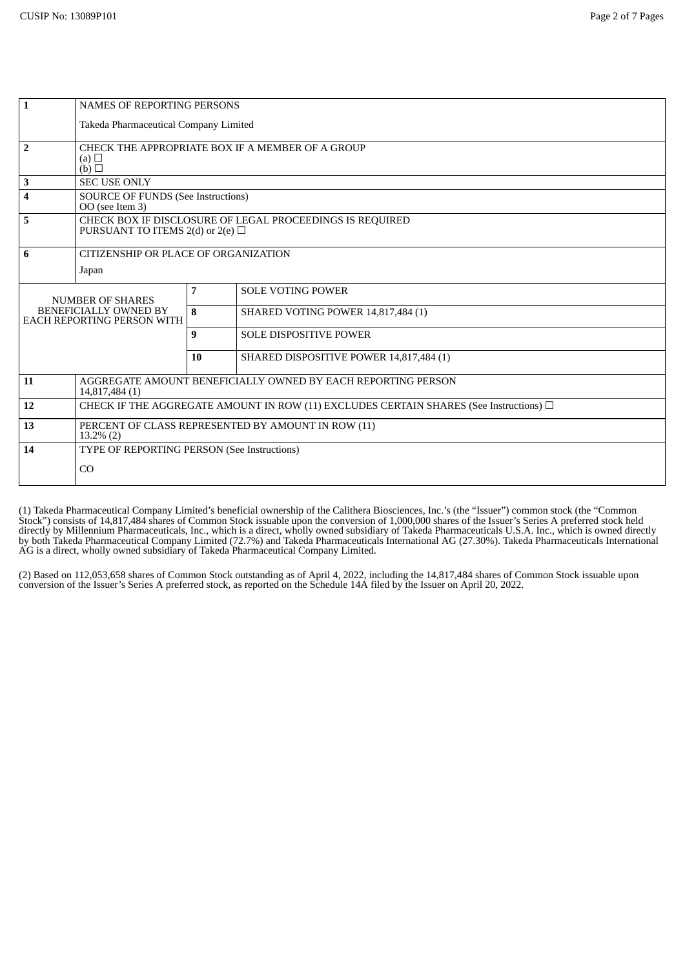| $\mathbf{1}$                                                                          | <b>NAMES OF REPORTING PERSONS</b>                                                                 |    |                                           |  |  |  |
|---------------------------------------------------------------------------------------|---------------------------------------------------------------------------------------------------|----|-------------------------------------------|--|--|--|
|                                                                                       | Takeda Pharmaceutical Company Limited                                                             |    |                                           |  |  |  |
| $\overline{2}$                                                                        | CHECK THE APPROPRIATE BOX IF A MEMBER OF A GROUP<br>(a) $\Box$<br>(b)                             |    |                                           |  |  |  |
| 3                                                                                     | <b>SEC USE ONLY</b>                                                                               |    |                                           |  |  |  |
| 4                                                                                     | <b>SOURCE OF FUNDS (See Instructions)</b><br>OO (see Item 3)                                      |    |                                           |  |  |  |
| 5                                                                                     | CHECK BOX IF DISCLOSURE OF LEGAL PROCEEDINGS IS REQUIRED<br>PURSUANT TO ITEMS 2(d) or 2(e) $\Box$ |    |                                           |  |  |  |
| 6                                                                                     | CITIZENSHIP OR PLACE OF ORGANIZATION                                                              |    |                                           |  |  |  |
|                                                                                       | Japan                                                                                             |    |                                           |  |  |  |
| <b>NUMBER OF SHARES</b><br>BENEFICIALLY OWNED BY<br><b>EACH REPORTING PERSON WITH</b> |                                                                                                   | 7  | <b>SOLE VOTING POWER</b>                  |  |  |  |
|                                                                                       |                                                                                                   | 8  | <b>SHARED VOTING POWER 14,817,484 (1)</b> |  |  |  |
|                                                                                       |                                                                                                   | 9  | <b>SOLE DISPOSITIVE POWER</b>             |  |  |  |
|                                                                                       |                                                                                                   | 10 | SHARED DISPOSITIVE POWER 14,817,484 (1)   |  |  |  |
| 11                                                                                    | AGGREGATE AMOUNT BENEFICIALLY OWNED BY EACH REPORTING PERSON<br>14,817,484 (1)                    |    |                                           |  |  |  |
| 12                                                                                    | CHECK IF THE AGGREGATE AMOUNT IN ROW (11) EXCLUDES CERTAIN SHARES (See Instructions) $\Box$       |    |                                           |  |  |  |
| 13                                                                                    | PERCENT OF CLASS REPRESENTED BY AMOUNT IN ROW (11)<br>$13.2\%$ (2)                                |    |                                           |  |  |  |
| 14                                                                                    | TYPE OF REPORTING PERSON (See Instructions)                                                       |    |                                           |  |  |  |
|                                                                                       | CO                                                                                                |    |                                           |  |  |  |
|                                                                                       |                                                                                                   |    |                                           |  |  |  |

(1) Takeda Pharmaceutical Company Limited's beneficial ownership of the Calithera Biosciences, Inc.'s (the "Issuer") common stock (the "Common Stock") consists of 14,817,484 shares of Common Stock issuable upon the conversion of 1,000,000 shares of the Issuer's Series A preferred stock held directly by Millennium Pharmaceuticals, Inc., which is a direct, wholly owned subsidiary of Takeda Pharmaceuticals U.S.A. Inc., which is owned directly by both Takeda Pharmaceutical Company Limited (72.7%) and Takeda Pharmaceuticals International AG (27.30%). Takeda Pharmaceuticals International AG is a direct, wholly owned subsidiary of Takeda Pharmaceutical Company Limited.

(2) Based on 112,053,658 shares of Common Stock outstanding as of April 4, 2022, including the 14,817,484 shares of Common Stock issuable upon conversion of the Issuer's Series A preferred stock, as reported on the Schedule 14A filed by the Issuer on April 20, 2022.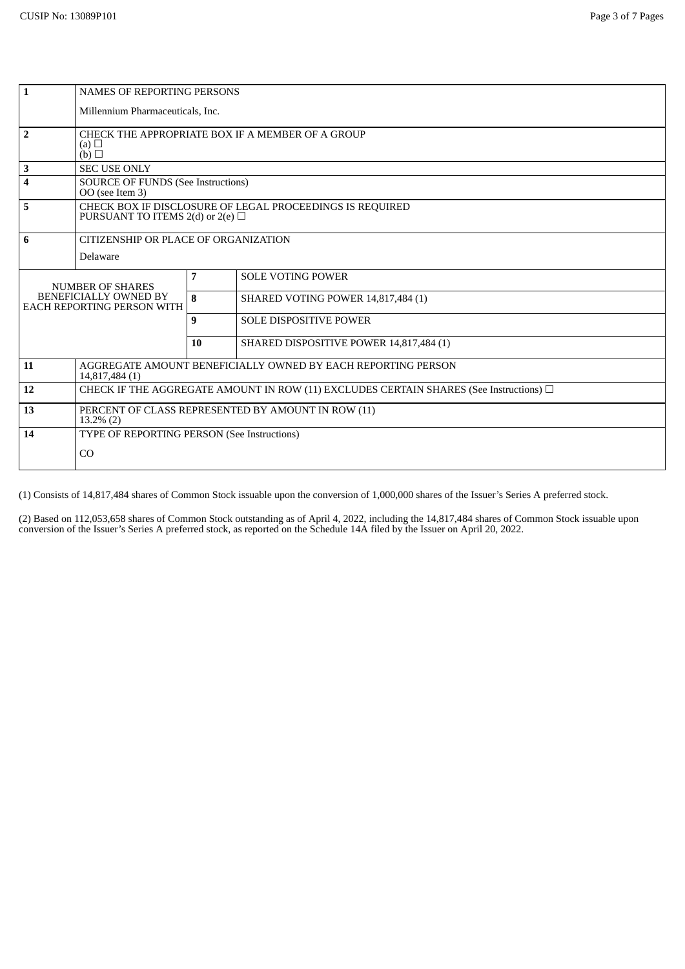| $\mathbf{1}$                                                                   | <b>NAMES OF REPORTING PERSONS</b>                                                                 |    |                                         |  |  |  |
|--------------------------------------------------------------------------------|---------------------------------------------------------------------------------------------------|----|-----------------------------------------|--|--|--|
|                                                                                | Millennium Pharmaceuticals, Inc.                                                                  |    |                                         |  |  |  |
| $\overline{2}$                                                                 | CHECK THE APPROPRIATE BOX IF A MEMBER OF A GROUP<br>(a) $\Box$<br>(b) $\Box$                      |    |                                         |  |  |  |
| 3                                                                              | <b>SEC USE ONLY</b>                                                                               |    |                                         |  |  |  |
| 4                                                                              | <b>SOURCE OF FUNDS (See Instructions)</b><br>OO (see Item 3)                                      |    |                                         |  |  |  |
| $\overline{\mathbf{5}}$                                                        | CHECK BOX IF DISCLOSURE OF LEGAL PROCEEDINGS IS REQUIRED<br>PURSUANT TO ITEMS 2(d) or 2(e) $\Box$ |    |                                         |  |  |  |
| 6                                                                              | CITIZENSHIP OR PLACE OF ORGANIZATION                                                              |    |                                         |  |  |  |
|                                                                                | Delaware                                                                                          |    |                                         |  |  |  |
| <b>NUMBER OF SHARES</b><br>BENEFICIALLY OWNED BY<br>EACH REPORTING PERSON WITH |                                                                                                   | 7  | <b>SOLE VOTING POWER</b>                |  |  |  |
|                                                                                |                                                                                                   | 8  | SHARED VOTING POWER 14,817,484 (1)      |  |  |  |
|                                                                                |                                                                                                   | 9  | <b>SOLE DISPOSITIVE POWER</b>           |  |  |  |
|                                                                                |                                                                                                   | 10 | SHARED DISPOSITIVE POWER 14,817,484 (1) |  |  |  |
| 11                                                                             | AGGREGATE AMOUNT BENEFICIALLY OWNED BY EACH REPORTING PERSON<br>14,817,484 (1)                    |    |                                         |  |  |  |
| 12                                                                             | CHECK IF THE AGGREGATE AMOUNT IN ROW (11) EXCLUDES CERTAIN SHARES (See Instructions) $\square$    |    |                                         |  |  |  |
| 13                                                                             | PERCENT OF CLASS REPRESENTED BY AMOUNT IN ROW (11)<br>$13.2\%$ (2)                                |    |                                         |  |  |  |
| 14                                                                             | TYPE OF REPORTING PERSON (See Instructions)                                                       |    |                                         |  |  |  |
|                                                                                | CO                                                                                                |    |                                         |  |  |  |

(1) Consists of 14,817,484 shares of Common Stock issuable upon the conversion of 1,000,000 shares of the Issuer's Series A preferred stock.

(2) Based on 112,053,658 shares of Common Stock outstanding as of April 4, 2022, including the 14,817,484 shares of Common Stock issuable upon conversion of the Issuer's Series A preferred stock, as reported on the Schedule 14A filed by the Issuer on April 20, 2022.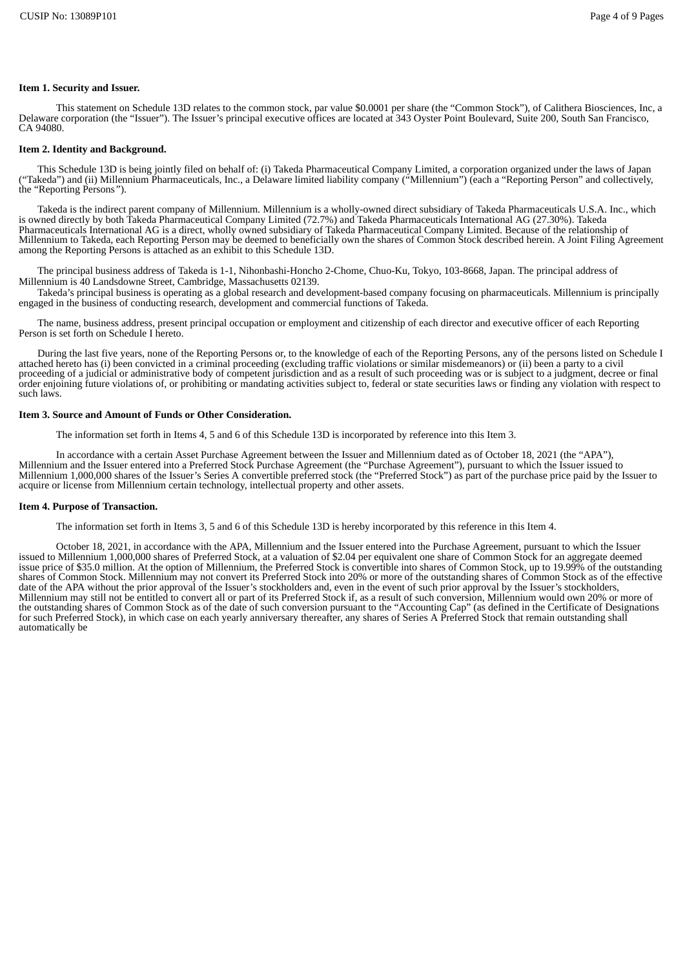### **Item 1. Security and Issuer.**

This statement on Schedule 13D relates to the common stock, par value \$0.0001 per share (the "Common Stock"), of Calithera Biosciences, Inc, a Delaware corporation (the "Issuer"). The Issuer's principal executive offices are located at 343 Oyster Point Boulevard, Suite 200, South San Francisco, CA 94080.

## **Item 2. Identity and Background.**

This Schedule 13D is being jointly filed on behalf of: (i) Takeda Pharmaceutical Company Limited, a corporation organized under the laws of Japan ("Takeda") and (ii) Millennium Pharmaceuticals, Inc., a Delaware limited liability company ("Millennium") (each a "Reporting Person" and collectively, the "Reporting Persons*"*).

Takeda is the indirect parent company of Millennium. Millennium is a wholly-owned direct subsidiary of Takeda Pharmaceuticals U.S.A. Inc., which is owned directly by both Takeda Pharmaceutical Company Limited (72.7%) and Takeda Pharmaceuticals International AG (27.30%). Takeda Pharmaceuticals International AG is a direct, wholly owned subsidiary of Takeda Pharmaceutical Company Limited. Because of the relationship of Millennium to Takeda, each Reporting Person may be deemed to beneficially own the shares of Common Stock described herein. A Joint Filing Agreement among the Reporting Persons is attached as an exhibit to this Schedule 13D.

The principal business address of Takeda is 1-1, Nihonbashi-Honcho 2-Chome, Chuo-Ku, Tokyo, 103-8668, Japan. The principal address of Millennium is 40 Landsdowne Street, Cambridge, Massachusetts 02139.

Takeda's principal business is operating as a global research and development-based company focusing on pharmaceuticals. Millennium is principally engaged in the business of conducting research, development and commercial functions of Takeda.

The name, business address, present principal occupation or employment and citizenship of each director and executive officer of each Reporting Person is set forth on Schedule I hereto.

During the last five years, none of the Reporting Persons or, to the knowledge of each of the Reporting Persons, any of the persons listed on Schedule I attached hereto has (i) been convicted in a criminal proceeding (excluding traffic violations or similar misdemeanors) or (ii) been a party to a civil proceeding of a judicial or administrative body of competent jurisdiction and as a result of such proceeding was or is subject to a judgment, decree or final order enjoining future violations of, or prohibiting or mandating activities subject to, federal or state securities laws or finding any violation with respect to such laws.

## **Item 3. Source and Amount of Funds or Other Consideration.**

The information set forth in Items 4, 5 and 6 of this Schedule 13D is incorporated by reference into this Item 3.

In accordance with a certain Asset Purchase Agreement between the Issuer and Millennium dated as of October 18, 2021 (the "APA"),<br>Millennium and the Issuer entered into a Preferred Stock Purchase Agreement (the "Purchase A acquire or license from Millennium certain technology, intellectual property and other assets.

#### **Item 4. Purpose of Transaction.**

The information set forth in Items 3, 5 and 6 of this Schedule 13D is hereby incorporated by this reference in this Item 4.

October 18, 2021, in accordance with the APA, Millennium and the Issuer entered into the Purchase Agreement, pursuant to which the Issuer issued to Millennium 1,000,000 shares of Preferred Stock, at a valuation of \$2.04 per equivalent one share of Common Stock for an aggregate deemed issue price of \$35.0 million. At the option of Millennium, the Preferred Stock is convertible into shares of Common Stock, up to 19.99% of the outstanding shares of Common Stock. Millennium may not convert its Preferred Stock into 20% or more of the outstanding shares of Common Stock as of the effective date of the APA without the prior approval of the Issuer's stockholders Millennium may still not be entitled to convert all or part of its Preferred Stock if, as a result of such conversion, Millennium would own 20% or more of the outstanding shares of Common Stock as of the date of such conversion pursuant to the "Accounting Cap" (as defined in the Certificate of Designations for such Preferred Stock), in which case on each yearly anniversary thereafter, any shares of Series A Preferred Stock that remain outstanding shall automatically be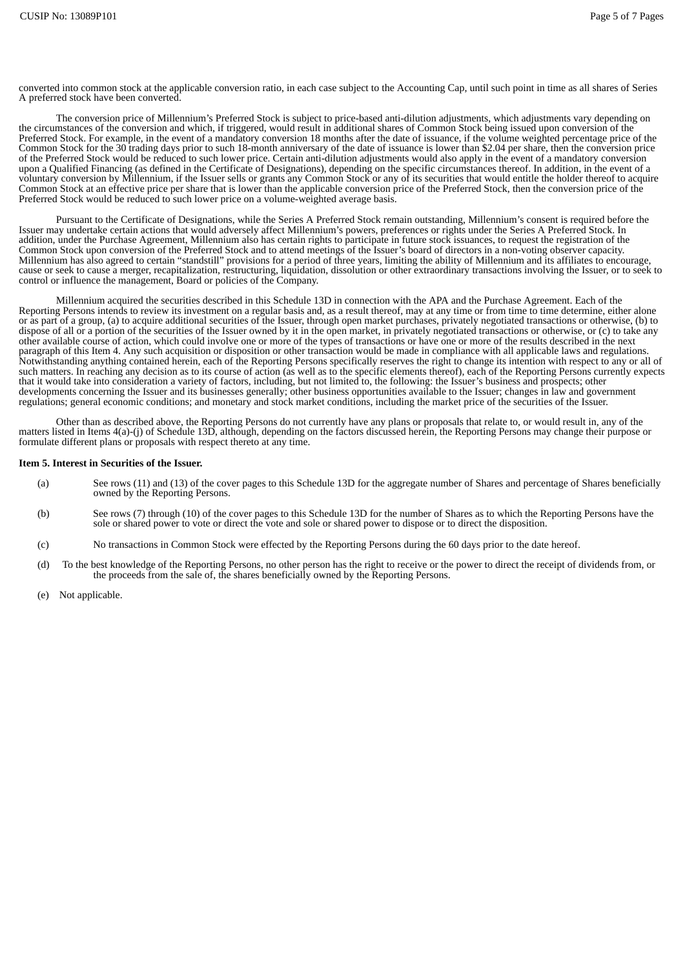converted into common stock at the applicable conversion ratio, in each case subject to the Accounting Cap, until such point in time as all shares of Series A preferred stock have been converted.

The conversion price of Millennium's Preferred Stock is subject to price-based anti-dilution adjustments, which adjustments vary depending on the circumstances of the conversion and which, if triggered, would result in additional shares of Common Stock being issued upon conversion of the Preferred Stock. For example, in the event of a mandatory conversion 18 months after the date of issuance, if the volume weighted percentage price of the Common Stock for the 30 trading days prior to such 18-month anniversary of the date of issuance is lower than \$2.04 per share, then the conversion price of the Preferred Stock would be reduced to such lower price. Certain anti-dilution adjustments would also apply in the event of a mandatory conversion upon a Qualified Financing (as defined in the Certificate of Designations), depending on the specific circumstances thereof. In addition, in the event of a voluntary conversion by Millennium, if the Issuer sells or grants any Common Stock or any of its securities that would entitle the holder thereof to acquire Common Stock at an effective price per share that is lower than the applicable conversion price of the Preferred Stock, then the conversion price of the Preferred Stock would be reduced to such lower price on a volume-weighted average basis.

Pursuant to the Certificate of Designations, while the Series A Preferred Stock remain outstanding, Millennium's consent is required before the Issuer may undertake certain actions that would adversely affect Millennium's powers, preferences or rights under the Series A Preferred Stock. In addition, under the Purchase Agreement, Millennium also has certain rights to participate in future stock issuances, to request the registration of the Common Stock upon conversion of the Preferred Stock and to attend meetings of the Issuer's board of directors in a non-voting observer capacity.<br>Millennium has also agreed to certain "standstill" provisions for a period of Millennium has also agreed to certain "standstill" provisions for a period of three years, limiting the ability of Millennium and its affiliates to encourage, cause or seek to cause a merger, recapitalization, restructurin control or influence the management, Board or policies of the Company.

Millennium acquired the securities described in this Schedule 13D in connection with the APA and the Purchase Agreement. Each of the Reporting Persons intends to review its investment on a regular basis and, as a result thereof, may at any time or from time to time determine, either alone or as part of a group, (a) to acquire additional securities of the Issuer, through open market purchases, privately negotiated transactions or otherwise, (b) to dispose of all or a portion of the securities of the Issuer owned by it in the open market, in privately negotiated transactions or otherwise, or (c) to take any other available course of action, which could involve one or more of the types of transactions or have one or more of the results described in the next paragraph of this Item 4. Any such acquisition or disposition or other transaction would be made in compliance with all applicable laws and regulations. Notwithstanding anything contained herein, each of the Reporting Persons specifically reserves the right to change its intention with respect to any or all of such matters. In reaching any decision as to its course of action (as well as to the specific elements thereof), each of the Reporting Persons currently expects that it would take into consideration a variety of factors, including, but not limited to, the following: the Issuer's business and prospects; other developments concerning the Issuer and its businesses generally; other business opportunities available to the Issuer; changes in law and government regulations; general economic conditions; and monetary and stock market conditions, including the market price of the securities of the Issuer.

Other than as described above, the Reporting Persons do not currently have any plans or proposals that relate to, or would result in, any of the matters listed in Items 4(a)-(j) of Schedule 13D, although, depending on the factors discussed herein, the Reporting Persons may change their purpose or formulate different plans or proposals with respect thereto at any time.

#### **Item 5. Interest in Securities of the Issuer.**

- (a) See rows (11) and (13) of the cover pages to this Schedule 13D for the aggregate number of Shares and percentage of Shares beneficially owned by the Reporting Persons.
- (b) See rows (7) through (10) of the cover pages to this Schedule 13D for the number of Shares as to which the Reporting Persons have the sole or shared power to vote or direct the vote and sole or shared power to dispose or to direct the disposition.
- (c) No transactions in Common Stock were effected by the Reporting Persons during the 60 days prior to the date hereof.
- (d) To the best knowledge of the Reporting Persons, no other person has the right to receive or the power to direct the receipt of dividends from, or the proceeds from the sale of, the shares beneficially owned by the Reporting Persons.
- (e) Not applicable.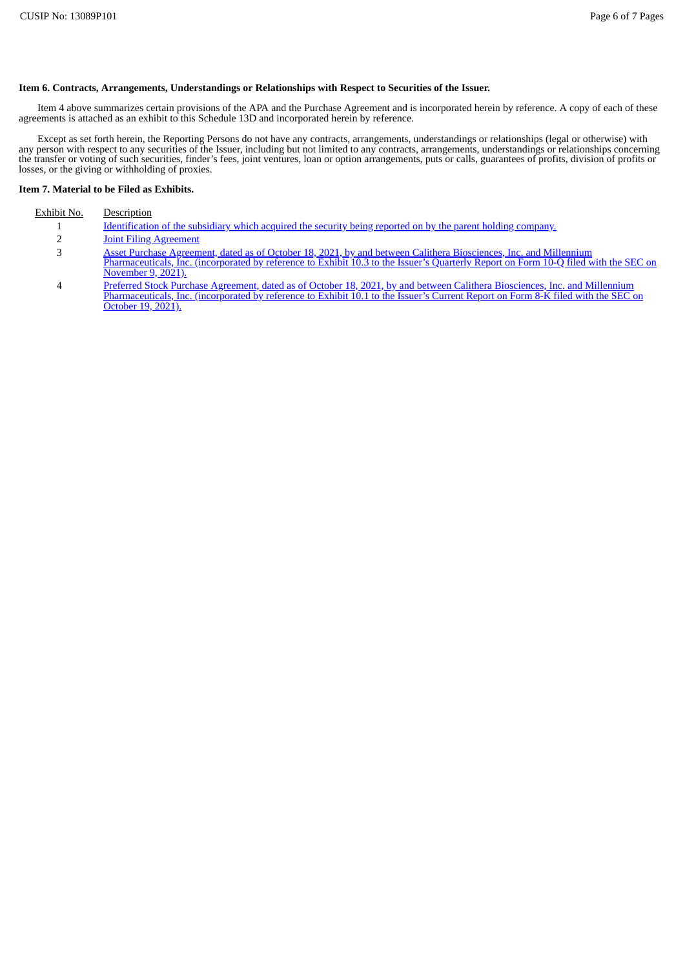## **Item 6. Contracts, Arrangements, Understandings or Relationships with Respect to Securities of the Issuer.**

Item 4 above summarizes certain provisions of the APA and the Purchase Agreement and is incorporated herein by reference. A copy of each of these agreements is attached as an exhibit to this Schedule 13D and incorporated herein by reference.

Except as set forth herein, the Reporting Persons do not have any contracts, arrangements, understandings or relationships (legal or otherwise) with any person with respect to any securities of the Issuer, including but not limited to any contracts, arrangements, understandings or relationships concerning the transfer or voting of such securities, finder's fees, joint ventures, loan or option arrangements, puts or calls, guarantees of profits, division of profits or losses, or the giving or withholding of proxies.

## **Item 7. Material to be Filed as Exhibits.**

## Exhibit No. Description

- 1 [Identification](#page-9-0) of the subsidiary which acquired the security being reported on by the parent holding company.
- 2 Joint Filing [Agreement](#page-10-0)
- 3 Asset Purchase Agreement, dated as of October 18, 2021, by and between Calithera Biosciences, Inc. and Millennium [Pharmaceuticals,](https://www.sec.gov/Archives/edgar/data/1496671/000095017021003783/cala-ex10_3.htm) Inc. (incorporated by reference to Exhibit 10.3 to the Issuer's Quarterly Report on Form 10-Q filed with the SEC on November 9, 2021).
- 4 Preferred Stock Purchase Agreement, dated as of October 18, 2021, by and between Calithera Biosciences, Inc. and Millennium [Pharmaceuticals,](https://www.sec.gov/Archives/edgar/data/1496671/000119312521301484/d198828dex101.htm) Inc. (incorporated by reference to Exhibit 10.1 to the Issuer's Current Report on Form 8-K filed with the SEC on October 19, 2021).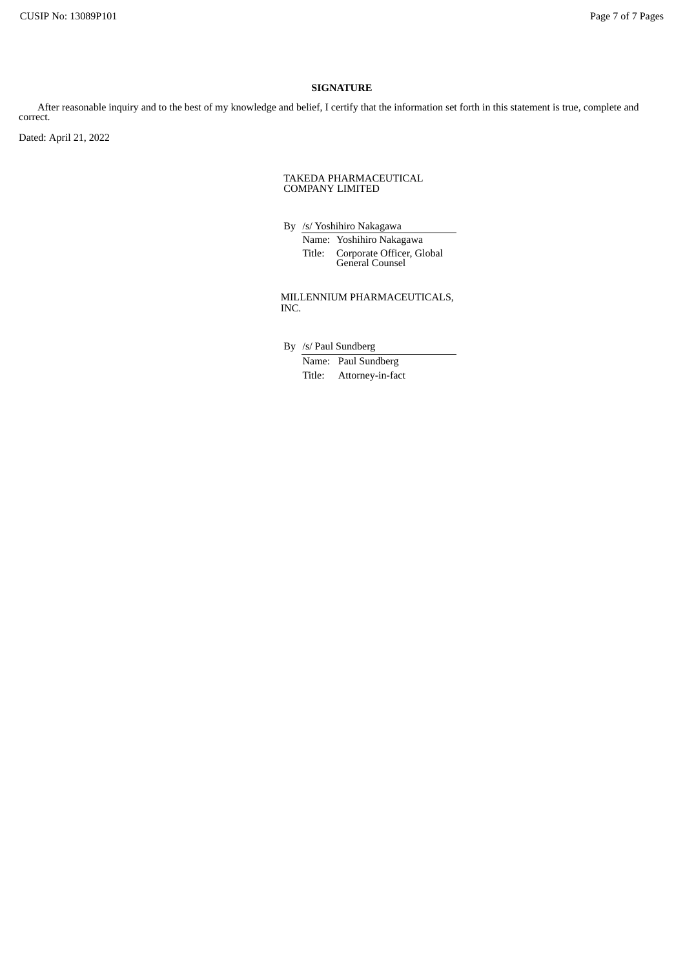## **SIGNATURE**

After reasonable inquiry and to the best of my knowledge and belief, I certify that the information set forth in this statement is true, complete and correct.

Dated: April 21, 2022

#### TAKEDA PHARMACEUTICAL COMPANY LIMITED

By /s/ Yoshihiro Nakagawa Name: Yoshihiro Nakagawa Title: Corporate Officer, Global General Counsel

MILLENNIUM PHARMACEUTICALS, INC.

By /s/ Paul Sundberg

Name: Paul Sundberg Title: Attorney-in-fact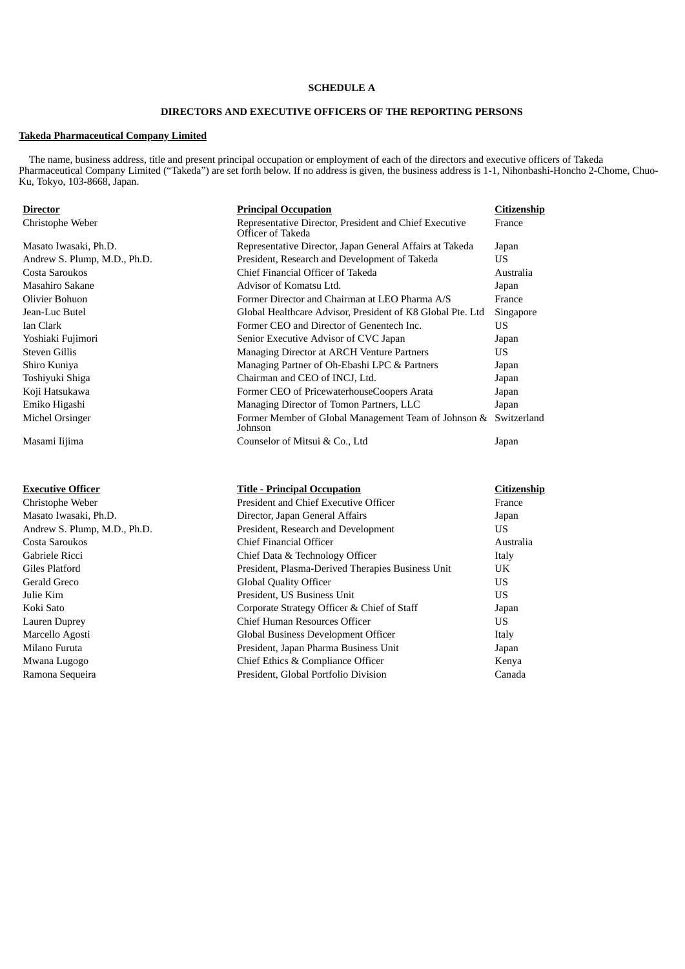# **SCHEDULE A**

# **DIRECTORS AND EXECUTIVE OFFICERS OF THE REPORTING PERSONS**

# **Takeda Pharmaceutical Company Limited**

The name, business address, title and present principal occupation or employment of each of the directors and executive officers of Takeda Pharmaceutical Company Limited ("Takeda") are set forth below. If no address is given, the business address is 1-1, Nihonbashi-Honcho 2-Chome, Chuo-Ku, Tokyo, 103-8668, Japan.

| <u>Director</u>              | <b>Principal Occupation</b>                                                 | <b>Citizenship</b> |
|------------------------------|-----------------------------------------------------------------------------|--------------------|
| Christophe Weber             | Representative Director, President and Chief Executive<br>Officer of Takeda | France             |
| Masato Iwasaki, Ph.D.        | Representative Director, Japan General Affairs at Takeda                    | Japan              |
| Andrew S. Plump, M.D., Ph.D. | President, Research and Development of Takeda                               | <b>US</b>          |
| Costa Saroukos               | Chief Financial Officer of Takeda                                           | Australia          |
| Masahiro Sakane              | Advisor of Komatsu Ltd.                                                     | Japan              |
| Olivier Bohuon               | Former Director and Chairman at LEO Pharma A/S                              | France             |
| Jean-Luc Butel               | Global Healthcare Advisor, President of K8 Global Pte. Ltd                  | Singapore          |
| Ian Clark                    | Former CEO and Director of Genentech Inc.                                   | <b>US</b>          |
| Yoshiaki Fujimori            | Senior Executive Advisor of CVC Japan                                       | Japan              |
| Steven Gillis                | Managing Director at ARCH Venture Partners                                  | <b>US</b>          |
| Shiro Kuniya                 | Managing Partner of Oh-Ebashi LPC & Partners                                | Japan              |
| Toshiyuki Shiga              | Chairman and CEO of INCJ, Ltd.                                              | Japan              |
| Koji Hatsukawa               | Former CEO of PricewaterhouseCoopers Arata                                  | Japan              |
| Emiko Higashi                | Managing Director of Tomon Partners, LLC                                    | Japan              |
| Michel Orsinger              | Former Member of Global Management Team of Johnson & Switzerland<br>Johnson |                    |
| Masami Iijima                | Counselor of Mitsui & Co., Ltd                                              | Japan              |
| <b>Executive Officer</b>     | <b>Title - Principal Occupation</b>                                         | <b>Citizenship</b> |
| Christophe Weber             | President and Chief Executive Officer                                       | France             |
| Masato Iwasaki, Ph.D.        | Director, Japan General Affairs                                             | Japan              |
| Andrew S. Plump, M.D., Ph.D. | President, Research and Development                                         | <b>US</b>          |
| Costa Saroukos               | <b>Chief Financial Officer</b>                                              | Australia          |
| Gabriele Ricci               | Chief Data & Technology Officer                                             | Italy              |
| Giles Platford               | President, Plasma-Derived Therapies Business Unit                           | UK                 |
| Gerald Greco                 | <b>Global Quality Officer</b>                                               | <b>US</b>          |
| Julie Kim                    | President, US Business Unit                                                 | US                 |
| Koki Sato                    | Corporate Strategy Officer & Chief of Staff                                 | Japan              |
| Lauren Duprey                | Chief Human Resources Officer                                               | <b>US</b>          |
| Marcello Agosti              | Global Business Development Officer                                         | Italy              |
| Milano Furuta                | President, Japan Pharma Business Unit                                       | Japan              |
| Mwana Lugogo                 | Chief Ethics & Compliance Officer                                           | Kenya              |
| Ramona Sequeira              | President, Global Portfolio Division                                        | Canada             |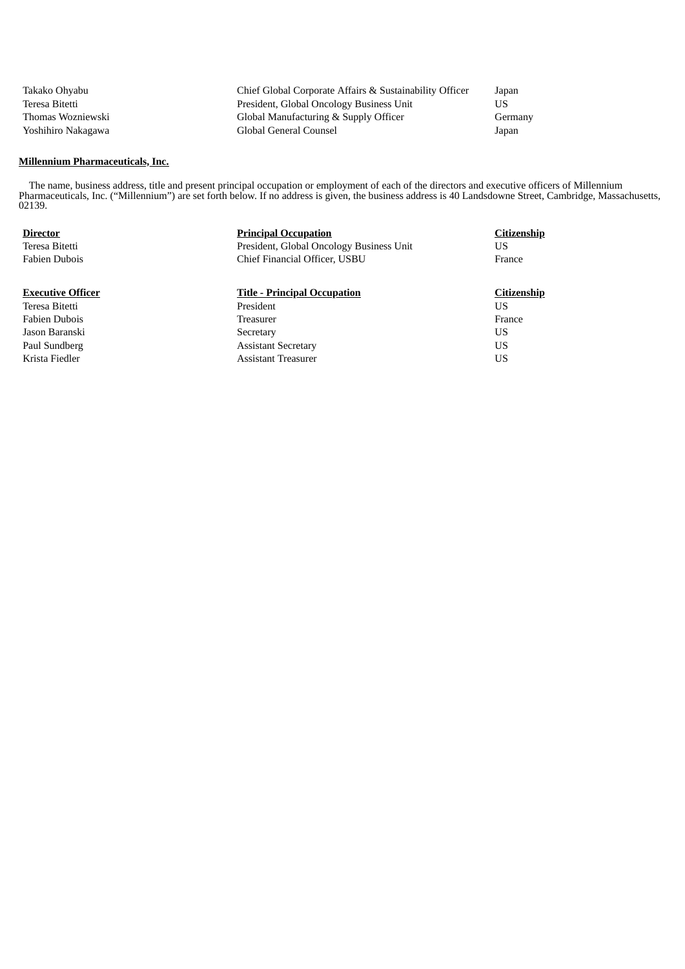| Takako Ohvabu      | Chief Global Corporate Affairs & Sustainability Officer | Japan   |
|--------------------|---------------------------------------------------------|---------|
| Teresa Bitetti     | President, Global Oncology Business Unit                | US      |
| Thomas Wozniewski  | Global Manufacturing & Supply Officer                   | Germany |
| Yoshihiro Nakagawa | Global General Counsel                                  | Japan   |

# **Millennium Pharmaceuticals, Inc.**

The name, business address, title and present principal occupation or employment of each of the directors and executive officers of Millennium Pharmaceuticals, Inc. ("Millennium") are set forth below. If no address is given, the business address is 40 Landsdowne Street, Cambridge, Massachusetts, 02139.

| <b>Director</b><br>Teresa Bitetti<br><b>Fabien Dubois</b> | <b>Principal Occupation</b><br>President, Global Oncology Business Unit<br>Chief Financial Officer, USBU | Citizenship<br>US<br>France |
|-----------------------------------------------------------|----------------------------------------------------------------------------------------------------------|-----------------------------|
| <b>Executive Officer</b>                                  | <b>Title - Principal Occupation</b>                                                                      | <b>Citizenship</b>          |
| Teresa Bitetti                                            | President                                                                                                | US                          |
| <b>Fabien Dubois</b>                                      | <b>Treasurer</b>                                                                                         | France                      |
| Jason Baranski                                            | Secretary                                                                                                | US                          |
| Paul Sundberg                                             | <b>Assistant Secretary</b>                                                                               | US                          |
| Krista Fiedler                                            | <b>Assistant Treasurer</b>                                                                               | US                          |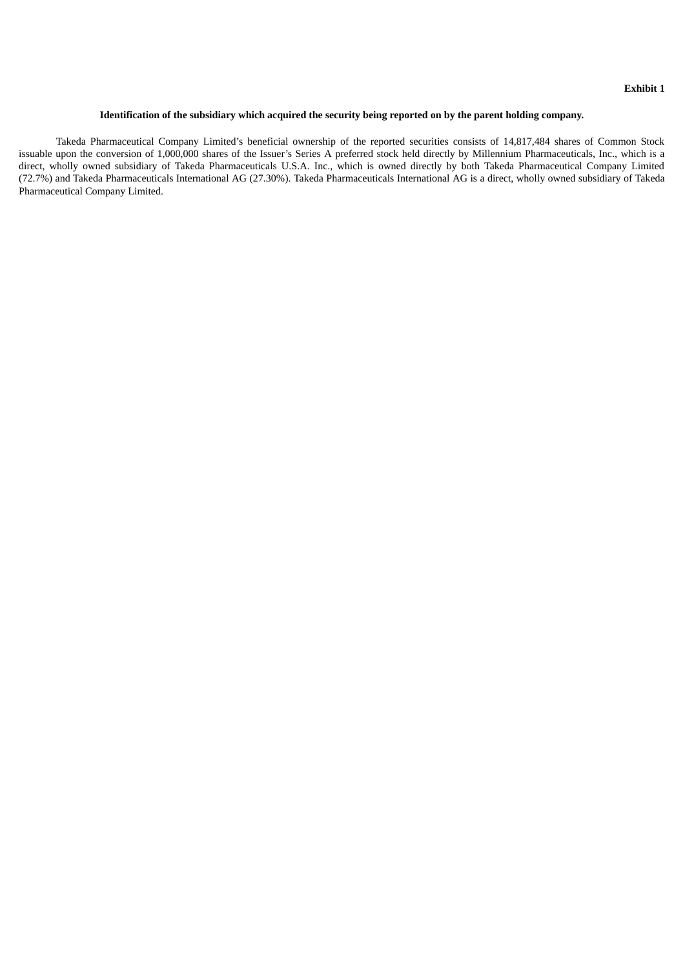## **Identification of the subsidiary which acquired the security being reported on by the parent holding company.**

<span id="page-9-0"></span>Takeda Pharmaceutical Company Limited's beneficial ownership of the reported securities consists of 14,817,484 shares of Common Stock issuable upon the conversion of 1,000,000 shares of the Issuer's Series A preferred stock held directly by Millennium Pharmaceuticals, Inc., which is a direct, wholly owned subsidiary of Takeda Pharmaceuticals U.S.A. Inc., which is owned directly by both Takeda Pharmaceutical Company Limited (72.7%) and Takeda Pharmaceuticals International AG (27.30%). Takeda Pharmaceuticals International AG is a direct, wholly owned subsidiary of Takeda Pharmaceutical Company Limited.